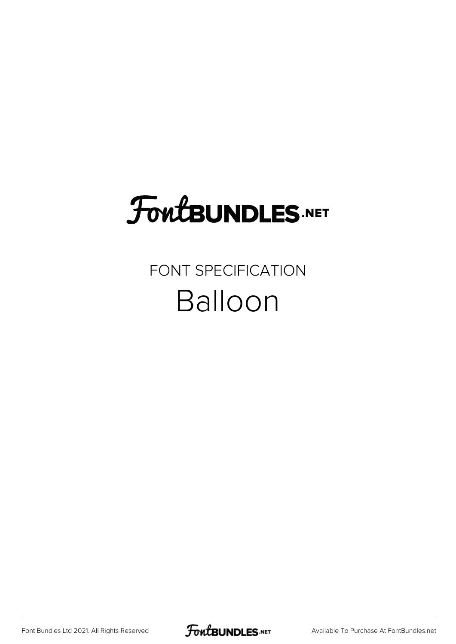# **FoutBUNDLES.NET**

#### FONT SPECIFICATION Balloon

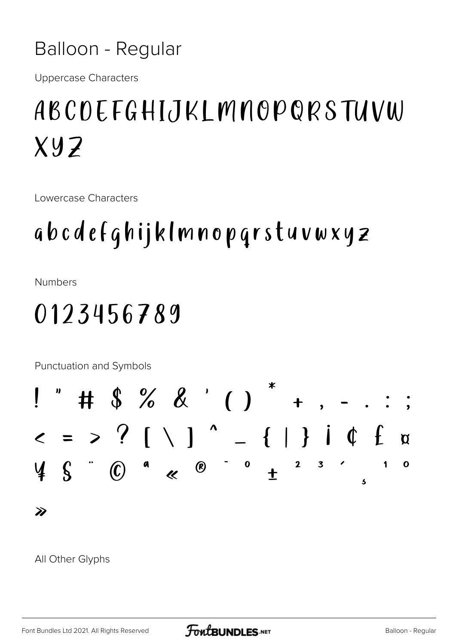#### **Balloon - Regular**

**Uppercase Characters** 

# ABCDEFGHIJKLMNOPQRSTUVW  $X.97$

Lowercase Characters

## abcdefqhijklmnopqrstuvwxyz

**Numbers** 

### 0123456789

Punctuation and Symbols



#### All Other Glyphs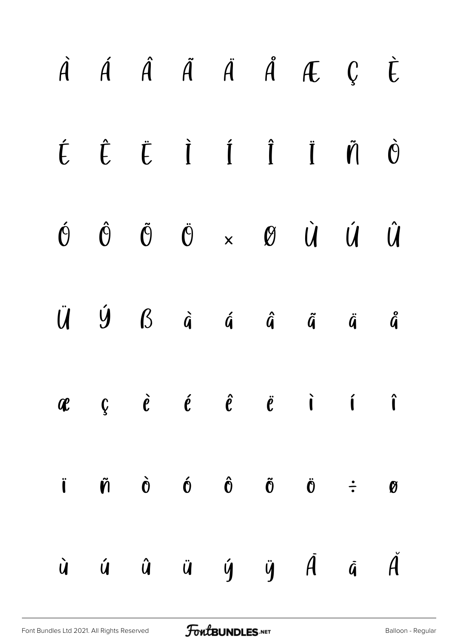|  |  |  | $\dot{A}$ $\dot{A}$ $\dot{A}$ $\ddot{A}$ $\ddot{A}$ $\ddot{A}$ $\ddot{C}$ $\dot{C}$                                                                                                                                                                                                                                                                                                                                                                                                         |  |
|--|--|--|---------------------------------------------------------------------------------------------------------------------------------------------------------------------------------------------------------------------------------------------------------------------------------------------------------------------------------------------------------------------------------------------------------------------------------------------------------------------------------------------|--|
|  |  |  | $\begin{array}{ccccccccccccc}\n\acute{\mathbf{L}} & \hat{\mathbf{L}} & \hat{\mathbf{L}} & \hat{\mathbf{I}} & \hat{\mathbf{I}} & \hat{\mathbf{I}} & \hat{\mathbf{I}} & \hat{\mathbf{I}} & \hat{\mathbf{I}} & \hat{\mathbf{I}} & \hat{\mathbf{I}} & \hat{\mathbf{I}} & \hat{\mathbf{I}} & \hat{\mathbf{I}} & \hat{\mathbf{I}} & \hat{\mathbf{I}} & \hat{\mathbf{I}} & \hat{\mathbf{I}} & \hat{\mathbf{I}} & \hat{\mathbf{I}} & \hat{\mathbf{I}} & \hat{\mathbf{I}} & \hat{\mathbf{I}} & \hat$ |  |
|  |  |  | $\begin{matrix} \hat{\Theta} & \hat{\Theta} & \hat{\Theta} & \hat{\Theta} & \times & \Theta & \dot{\Theta} & \dot{\Theta} & \dot{\Theta} \end{matrix}$                                                                                                                                                                                                                                                                                                                                      |  |
|  |  |  | $\ddot{U} \quad \dot{U} \quad S \quad \dot{a} \quad \dot{a} \quad \dot{a} \quad \ddot{a} \quad \ddot{a} \quad \ddot{a}$                                                                                                                                                                                                                                                                                                                                                                     |  |
|  |  |  | $\mathscr{R}$ $\mathscr{C}$ $\mathscr{C}$ $\mathscr{C}$ $\mathscr{C}$ $\mathscr{C}$ $\mathscr{C}$ $\mathscr{C}$ $\mathscr{C}$ $\mathscr{C}$ $\mathscr{C}$ $\mathscr{C}$ $\mathscr{C}$ $\mathscr{C}$ $\mathscr{C}$ $\mathscr{C}$ $\mathscr{C}$ $\mathscr{C}$ $\mathscr{C}$ $\mathscr{C}$ $\mathscr{C}$ $\mathscr{C}$ $\mathscr{C}$ $\mathscr{C}$ $\mathscr{$                                                                                                                                 |  |
|  |  |  | $\ddot{\mathbf{i}}$ $\ddot{\mathbf{n}}$ $\dot{\mathbf{0}}$ $\dot{\mathbf{0}}$ $\ddot{\mathbf{0}}$ $\ddot{\mathbf{0}}$ $\ddot{\mathbf{0}}$ $\ddot{\mathbf{0}}$ $\ddot{\mathbf{0}}$ $\ddot{\mathbf{0}}$                                                                                                                                                                                                                                                                                       |  |
|  |  |  | $\dot{u}$ $\dot{u}$ $\ddot{u}$ $\dot{y}$ $\ddot{y}$ $\ddot{d}$ $\ddot{d}$                                                                                                                                                                                                                                                                                                                                                                                                                   |  |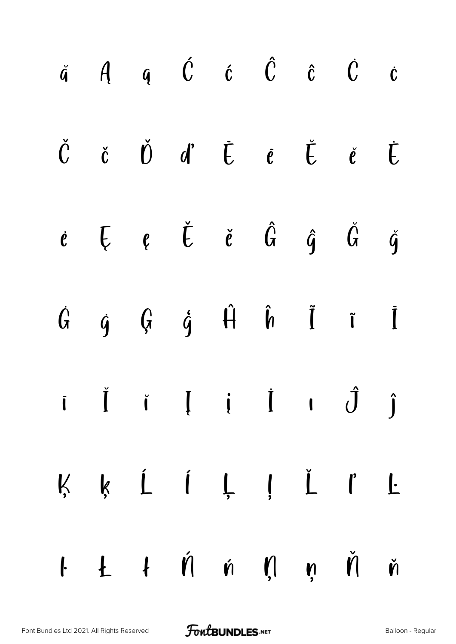|  | $\check{a}$ $\hat{A}$ $\hat{q}$ $\acute{C}$ $\hat{c}$ $\hat{C}$ $\hat{c}$ $\hat{C}$ $\hat{c}$  |  |  |  |
|--|------------------------------------------------------------------------------------------------|--|--|--|
|  | $\check{C}$ č $\check{D}$ d' $\bar{C}$ e $\check{E}$ e $\check{E}$                             |  |  |  |
|  | $\dot{e}$ $\vec{E}$ $\dot{e}$ $\dot{\vec{G}}$ $\dot{\hat{g}}$ $\ddot{\vec{G}}$ $\dot{\vec{g}}$ |  |  |  |
|  | $\dot{G}$ $\dot{g}$ $\dot{G}$ $\dot{g}$ $\dot{H}$ $\dot{\hat{h}}$ $\ddot{I}$ $\ddot{I}$        |  |  |  |
|  | $i \quad \check{I} \quad i \quad I \quad i \quad \dot{I} \quad i \quad \hat{J} \quad \hat{j}$  |  |  |  |
|  | K K Í Í L J I L                                                                                |  |  |  |
|  | $I L I \nmid \nmid \nmid \nmid \nmid \nmid \nmid \nmid$                                        |  |  |  |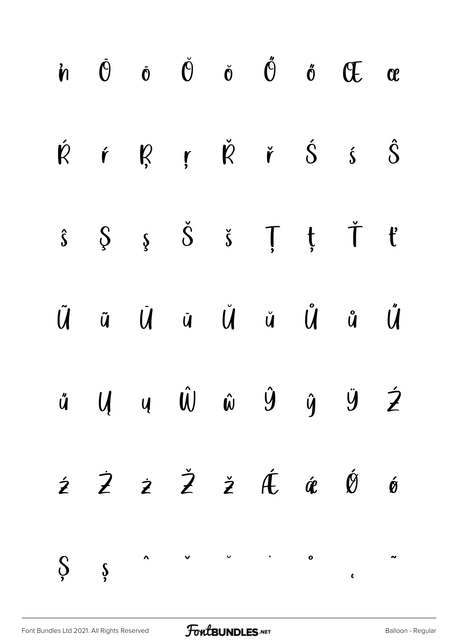|  |  |  | in $\dot{\Theta}$ o $\check{\Theta}$ o $\check{\Theta}$ o $\check{\Theta}$ o $\check{\Theta}$ of $\Theta$ or                                                                                                                                                                                                                                                                                                                                                                |  |
|--|--|--|-----------------------------------------------------------------------------------------------------------------------------------------------------------------------------------------------------------------------------------------------------------------------------------------------------------------------------------------------------------------------------------------------------------------------------------------------------------------------------|--|
|  |  |  | $\acute{R}$ $\acute{R}$ $\acute{R}$ $\acute{R}$ $\acute{R}$ $\acute{S}$ $\acute{S}$ $\acute{S}$                                                                                                                                                                                                                                                                                                                                                                             |  |
|  |  |  | $\hat{s} \quad \, \hat{\S} \quad \, \hat{s} \quad \, \check{\S} \quad \, \check{s} \quad \, \textcolor{red}{\check{\mathsf{T}}} \quad \, \textcolor{red}{\check{\mathsf{t}}} \quad \, \check{\mathsf{T}} \quad \, \textcolor{red}{\check{\mathsf{t}}}$                                                                                                                                                                                                                      |  |
|  |  |  | $\begin{array}{ccccccccccccc}\n\tilde{U} & \tilde{u} & \tilde{u} & \tilde{u} & \tilde{u} & \tilde{u} & \tilde{u} & \tilde{u}\n\end{array}$                                                                                                                                                                                                                                                                                                                                  |  |
|  |  |  | ű U U Ŵ ŵ Ŷ ŷ Ÿ Ź                                                                                                                                                                                                                                                                                                                                                                                                                                                           |  |
|  |  |  | $\dot{z}$ $\dot{z}$ $\dot{z}$ $\dot{z}$ $\dot{\theta}$ $\dot{\theta}$ $\dot{\theta}$                                                                                                                                                                                                                                                                                                                                                                                        |  |
|  |  |  | $\int\limits_{\gamma}$ $\int\limits_{\gamma}$ $\int\limits_{\gamma}$ $\int\limits_{\gamma}$ $\int\limits_{\gamma}$ $\int\limits_{\gamma}$ $\int\limits_{\gamma}$ $\int\limits_{\gamma}$ $\int\limits_{\gamma}$ $\int\limits_{\gamma}$ $\int\limits_{\gamma}$ $\int\limits_{\gamma}$ $\int\limits_{\gamma}$ $\int\limits_{\gamma}$ $\int\limits_{\gamma}$ $\int\limits_{\gamma}$ $\int\limits_{\gamma}$ $\int\limits_{\gamma}$ $\int\limits_{\gamma}$ $\int\limits_{\gamma}$ |  |